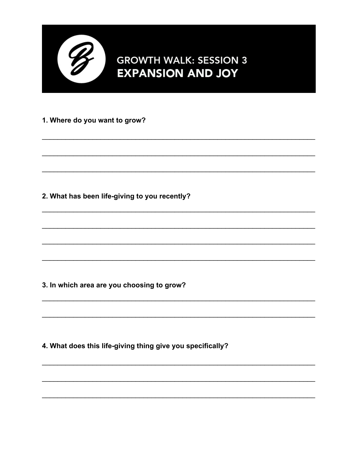

## **GROWTH WALK: SESSION 3 EXPANSION AND JOY**

## 1. Where do you want to grow?

2. What has been life-giving to you recently?

3. In which area are you choosing to grow?

4. What does this life-giving thing give you specifically?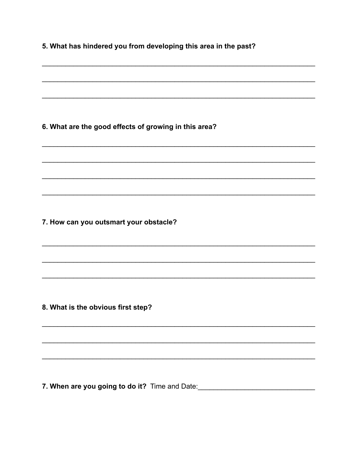5. What has hindered you from developing this area in the past?

6. What are the good effects of growing in this area?

7. How can you outsmart your obstacle?

8. What is the obvious first step?

7. When are you going to do it? Time and Date: \_\_\_\_\_\_\_\_\_\_\_\_\_\_\_\_\_\_\_\_\_\_\_\_\_\_\_\_\_\_\_\_\_